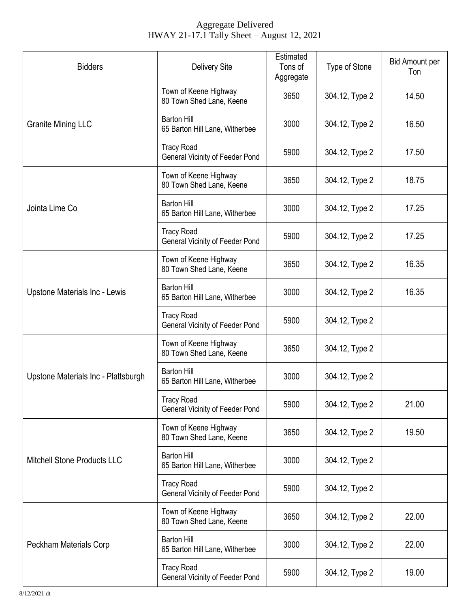## Aggregate Delivered HWAY 21-17.1 Tally Sheet – August 12, 2021

| <b>Bidders</b>                       | <b>Delivery Site</b>                                        | Estimated<br>Tons of<br>Aggregate | Type of Stone  | <b>Bid Amount per</b><br>Ton |
|--------------------------------------|-------------------------------------------------------------|-----------------------------------|----------------|------------------------------|
| <b>Granite Mining LLC</b>            | Town of Keene Highway<br>80 Town Shed Lane, Keene           | 3650                              | 304.12, Type 2 | 14.50                        |
|                                      | <b>Barton Hill</b><br>65 Barton Hill Lane, Witherbee        | 3000                              | 304.12, Type 2 | 16.50                        |
|                                      | <b>Tracy Road</b><br><b>General Vicinity of Feeder Pond</b> | 5900                              | 304.12, Type 2 | 17.50                        |
| Jointa Lime Co                       | Town of Keene Highway<br>80 Town Shed Lane, Keene           | 3650                              | 304.12, Type 2 | 18.75                        |
|                                      | <b>Barton Hill</b><br>65 Barton Hill Lane, Witherbee        | 3000                              | 304.12, Type 2 | 17.25                        |
|                                      | <b>Tracy Road</b><br>General Vicinity of Feeder Pond        | 5900                              | 304.12, Type 2 | 17.25                        |
| <b>Upstone Materials Inc - Lewis</b> | Town of Keene Highway<br>80 Town Shed Lane, Keene           | 3650                              | 304.12, Type 2 | 16.35                        |
|                                      | <b>Barton Hill</b><br>65 Barton Hill Lane, Witherbee        | 3000                              | 304.12, Type 2 | 16.35                        |
|                                      | <b>Tracy Road</b><br><b>General Vicinity of Feeder Pond</b> | 5900                              | 304.12, Type 2 |                              |
| Upstone Materials Inc - Plattsburgh  | Town of Keene Highway<br>80 Town Shed Lane, Keene           | 3650                              | 304.12, Type 2 |                              |
|                                      | <b>Barton Hill</b><br>65 Barton Hill Lane, Witherbee        | 3000                              | 304.12, Type 2 |                              |
|                                      | <b>Tracy Road</b><br>General Vicinity of Feeder Pond        | 5900                              | 304.12, Type 2 | 21.00                        |
| <b>Mitchell Stone Products LLC</b>   | Town of Keene Highway<br>80 Town Shed Lane, Keene           | 3650                              | 304.12, Type 2 | 19.50                        |
|                                      | <b>Barton Hill</b><br>65 Barton Hill Lane, Witherbee        | 3000                              | 304.12, Type 2 |                              |
|                                      | <b>Tracy Road</b><br><b>General Vicinity of Feeder Pond</b> | 5900                              | 304.12, Type 2 |                              |
| Peckham Materials Corp               | Town of Keene Highway<br>80 Town Shed Lane, Keene           | 3650                              | 304.12, Type 2 | 22.00                        |
|                                      | <b>Barton Hill</b><br>65 Barton Hill Lane, Witherbee        | 3000                              | 304.12, Type 2 | 22.00                        |
|                                      | <b>Tracy Road</b><br><b>General Vicinity of Feeder Pond</b> | 5900                              | 304.12, Type 2 | 19.00                        |